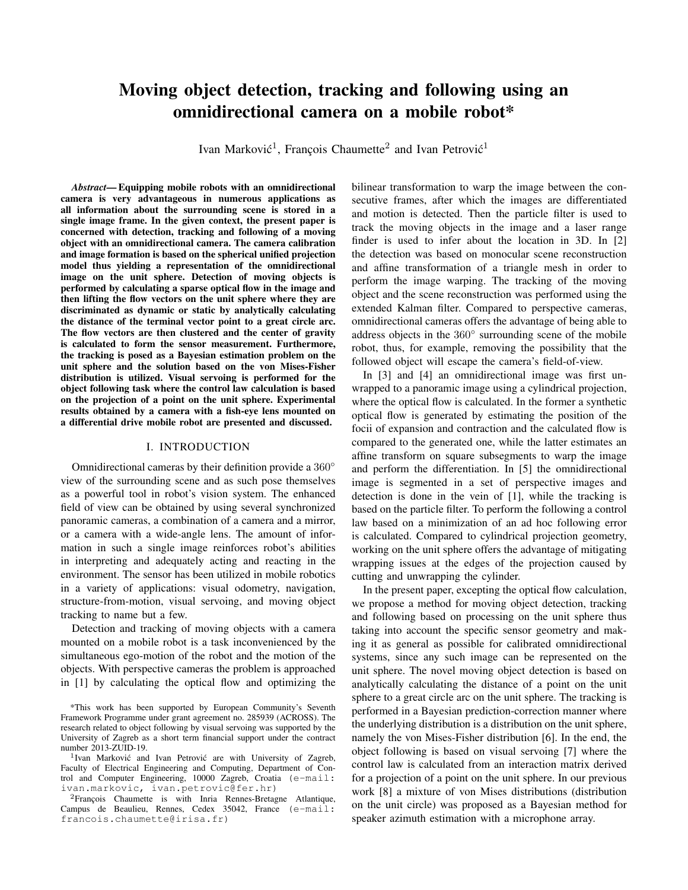# Moving object detection, tracking and following using an omnidirectional camera on a mobile robot\*

Ivan Marković<sup>1</sup>, François Chaumette<sup>2</sup> and Ivan Petrović<sup>1</sup>

*Abstract*— Equipping mobile robots with an omnidirectional camera is very advantageous in numerous applications as all information about the surrounding scene is stored in a single image frame. In the given context, the present paper is concerned with detection, tracking and following of a moving object with an omnidirectional camera. The camera calibration and image formation is based on the spherical unified projection model thus yielding a representation of the omnidirectional image on the unit sphere. Detection of moving objects is performed by calculating a sparse optical flow in the image and then lifting the flow vectors on the unit sphere where they are discriminated as dynamic or static by analytically calculating the distance of the terminal vector point to a great circle arc. The flow vectors are then clustered and the center of gravity is calculated to form the sensor measurement. Furthermore, the tracking is posed as a Bayesian estimation problem on the unit sphere and the solution based on the von Mises-Fisher distribution is utilized. Visual servoing is performed for the object following task where the control law calculation is based on the projection of a point on the unit sphere. Experimental results obtained by a camera with a fish-eye lens mounted on a differential drive mobile robot are presented and discussed.

#### I. INTRODUCTION

Omnidirectional cameras by their definition provide a 360◦ view of the surrounding scene and as such pose themselves as a powerful tool in robot's vision system. The enhanced field of view can be obtained by using several synchronized panoramic cameras, a combination of a camera and a mirror, or a camera with a wide-angle lens. The amount of information in such a single image reinforces robot's abilities in interpreting and adequately acting and reacting in the environment. The sensor has been utilized in mobile robotics in a variety of applications: visual odometry, navigation, structure-from-motion, visual servoing, and moving object tracking to name but a few.

Detection and tracking of moving objects with a camera mounted on a mobile robot is a task inconvenienced by the simultaneous ego-motion of the robot and the motion of the objects. With perspective cameras the problem is approached in [1] by calculating the optical flow and optimizing the bilinear transformation to warp the image between the consecutive frames, after which the images are differentiated and motion is detected. Then the particle filter is used to track the moving objects in the image and a laser range finder is used to infer about the location in 3D. In [2] the detection was based on monocular scene reconstruction and affine transformation of a triangle mesh in order to perform the image warping. The tracking of the moving object and the scene reconstruction was performed using the extended Kalman filter. Compared to perspective cameras, omnidirectional cameras offers the advantage of being able to address objects in the 360◦ surrounding scene of the mobile robot, thus, for example, removing the possibility that the followed object will escape the camera's field-of-view.

In [3] and [4] an omnidirectional image was first unwrapped to a panoramic image using a cylindrical projection, where the optical flow is calculated. In the former a synthetic optical flow is generated by estimating the position of the focii of expansion and contraction and the calculated flow is compared to the generated one, while the latter estimates an affine transform on square subsegments to warp the image and perform the differentiation. In [5] the omnidirectional image is segmented in a set of perspective images and detection is done in the vein of [1], while the tracking is based on the particle filter. To perform the following a control law based on a minimization of an ad hoc following error is calculated. Compared to cylindrical projection geometry, working on the unit sphere offers the advantage of mitigating wrapping issues at the edges of the projection caused by cutting and unwrapping the cylinder.

In the present paper, excepting the optical flow calculation, we propose a method for moving object detection, tracking and following based on processing on the unit sphere thus taking into account the specific sensor geometry and making it as general as possible for calibrated omnidirectional systems, since any such image can be represented on the unit sphere. The novel moving object detection is based on analytically calculating the distance of a point on the unit sphere to a great circle arc on the unit sphere. The tracking is performed in a Bayesian prediction-correction manner where the underlying distribution is a distribution on the unit sphere, namely the von Mises-Fisher distribution [6]. In the end, the object following is based on visual servoing [7] where the control law is calculated from an interaction matrix derived for a projection of a point on the unit sphere. In our previous work [8] a mixture of von Mises distributions (distribution on the unit circle) was proposed as a Bayesian method for speaker azimuth estimation with a microphone array.

<sup>\*</sup>This work has been supported by European Community's Seventh Framework Programme under grant agreement no. 285939 (ACROSS). The research related to object following by visual servoing was supported by the University of Zagreb as a short term financial support under the contract number 2013-ZUID-19.

<sup>&</sup>lt;sup>1</sup> Ivan Marković and Ivan Petrović are with University of Zagreb, Faculty of Electrical Engineering and Computing, Department of Control and Computer Engineering, 10000 Zagreb, Croatia (e-mail: ivan.markovic, ivan.petrovic@fer.hr)

 ${}^{2}$ François Chaumette is with Inria Rennes-Bretagne Atlantique, Campus de Beaulieu, Rennes, Cedex 35042, France (e-mail: francois.chaumette@irisa.fr)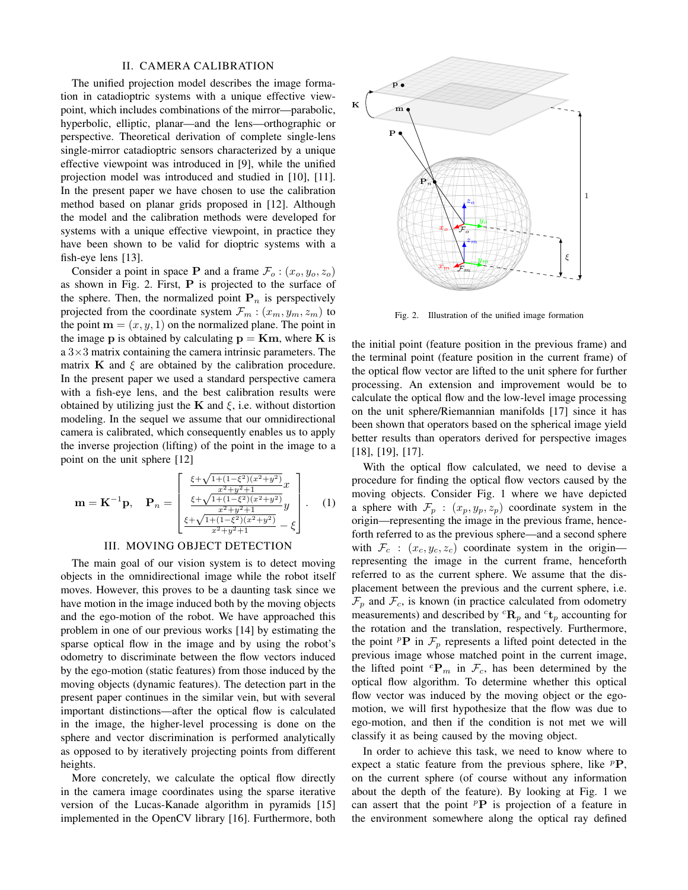## II. CAMERA CALIBRATION

The unified projection model describes the image formation in catadioptric systems with a unique effective viewpoint, which includes combinations of the mirror—parabolic, hyperbolic, elliptic, planar—and the lens—orthographic or perspective. Theoretical derivation of complete single-lens single-mirror catadioptric sensors characterized by a unique effective viewpoint was introduced in [9], while the unified projection model was introduced and studied in [10], [11]. In the present paper we have chosen to use the calibration method based on planar grids proposed in [12]. Although the model and the calibration methods were developed for systems with a unique effective viewpoint, in practice they have been shown to be valid for dioptric systems with a fish-eye lens [13].

Consider a point in space P and a frame  $\mathcal{F}_o$  :  $(x_o, y_o, z_o)$ as shown in Fig. 2. First, P is projected to the surface of the sphere. Then, the normalized point  $P_n$  is perspectively projected from the coordinate system  $\mathcal{F}_m$ :  $(x_m, y_m, z_m)$  to the point  $\mathbf{m} = (x, y, 1)$  on the normalized plane. The point in the image p is obtained by calculating  $p = Km$ , where K is a  $3\times3$  matrix containing the camera intrinsic parameters. The matrix **K** and  $\xi$  are obtained by the calibration procedure. In the present paper we used a standard perspective camera with a fish-eye lens, and the best calibration results were obtained by utilizing just the K and  $\xi$ , i.e. without distortion modeling. In the sequel we assume that our omnidirectional camera is calibrated, which consequently enables us to apply the inverse projection (lifting) of the point in the image to a point on the unit sphere [12]

$$
\mathbf{m} = \mathbf{K}^{-1} \mathbf{p}, \quad \mathbf{P}_n = \begin{bmatrix} \frac{\xi + \sqrt{1 + (1 - \xi^2)(x^2 + y^2)}}{x^2 + y^2 + 1} x \\ \frac{\xi + \sqrt{1 + (1 - \xi^2)(x^2 + y^2)}}{x^2 + y^2 + 1} y \\ \frac{\xi + \sqrt{1 + (1 - \xi^2)(x^2 + y^2)}}{x^2 + y^2 + 1} - \xi \end{bmatrix} . \quad (1)
$$

## III. MOVING OBJECT DETECTION

The main goal of our vision system is to detect moving objects in the omnidirectional image while the robot itself moves. However, this proves to be a daunting task since we have motion in the image induced both by the moving objects and the ego-motion of the robot. We have approached this problem in one of our previous works [14] by estimating the sparse optical flow in the image and by using the robot's odometry to discriminate between the flow vectors induced by the ego-motion (static features) from those induced by the moving objects (dynamic features). The detection part in the present paper continues in the similar vein, but with several important distinctions—after the optical flow is calculated in the image, the higher-level processing is done on the sphere and vector discrimination is performed analytically as opposed to by iteratively projecting points from different heights. systems with a unique elective viewpoint, in practice they been shown to be what for dioptic systems with a<br>
fixite been shown to be what for dioptic systems with a<br>
fixite been shown to be what for dioptic systems with a

More concretely, we calculate the optical flow directly in the camera image coordinates using the sparse iterative version of the Lucas-Kanade algorithm in pyramids [15]



Fig. 2. Illustration of the unified image formation

the initial point (feature position in the previous frame) and the terminal point (feature position in the current frame) of the optical flow vector are lifted to the unit sphere for further processing. An extension and improvement would be to calculate the optical flow and the low-level image processing on the unit sphere/Riemannian manifolds [17] since it has been shown that operators based on the spherical image yield better results than operators derived for perspective images [18], [19], [17].

With the optical flow calculated, we need to devise a procedure for finding the optical flow vectors caused by the moving objects. Consider Fig. 1 where we have depicted a sphere with  $\mathcal{F}_p$  :  $(x_p, y_p, z_p)$  coordinate system in the origin—representing the image in the previous frame, henceforth referred to as the previous sphere—and a second sphere with  $\mathcal{F}_c$  :  $(x_c, y_c, z_c)$  coordinate system in the origin representing the image in the current frame, henceforth referred to as the current sphere. We assume that the displacement between the previous and the current sphere, i.e.  $\mathcal{F}_p$  and  $\mathcal{F}_c$ , is known (in practice calculated from odometry measurements) and described by <sup> $c$ </sup>**R**<sub>p</sub> and  $c$ <sup>*t*</sup><sub>p</sub> accounting for the rotation and the translation, respectively. Furthermore, the point  ${}^p{\bf P}$  in  $\mathcal{F}_p$  represents a lifted point detected in the previous image whose matched point in the current image, the lifted point  ${}^c\mathbf{P}_m$  in  $\mathcal{F}_c$ , has been determined by the optical flow algorithm. To determine whether this optical flow vector was induced by the moving object or the egomotion, we will first hypothesize that the flow was due to ego-motion, and then if the condition is not met we will classify it as being caused by the moving object.

In order to achieve this task, we need to know where to expect a static feature from the previous sphere, like  ${}^pP$ , on the current sphere (of course without any information about the depth of the feature). By looking at Fig. 1 we can assert that the point  ${}^p{\bf P}$  is projection of a feature in the environment somewhere along the optical ray defined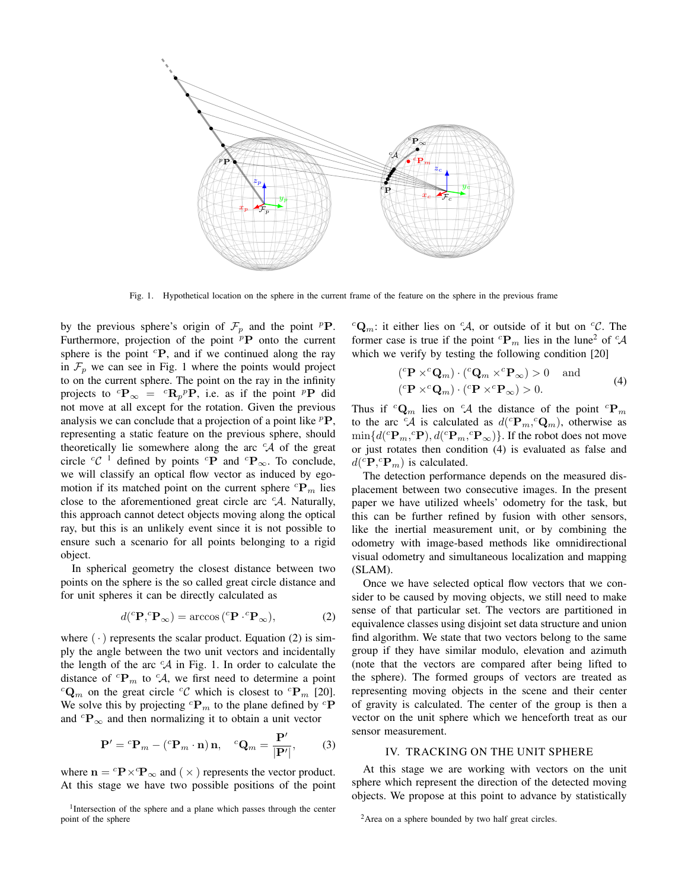

Fig. 1. Hypothetical location on the sphere in the current frame of the feature on the sphere in the previous frame

by the previous sphere's origin of  $\mathcal{F}_p$  and the point  ${}^p\mathbf{P}$ . Furthermore, projection of the point  $P$ P onto the current sphere is the point  ${}^{c}\mathbf{P}$ , and if we continued along the ray in  $\mathcal{F}_p$  we can see in Fig. 1 where the points would project to on the current sphere. The point on the ray in the infinity projects to  ${}^{c}\mathbf{P}_{\infty} = {}^{c}\mathbf{R}_{p}{}^{p}\mathbf{P}$ , i.e. as if the point  ${}^{p}\mathbf{P}$  did not move at all except for the rotation. Given the previous analysis we can conclude that a projection of a point like  ${}^pP$ , representing a static feature on the previous sphere, should theoretically lie somewhere along the arc  ${}^cA$  of the great circle  ${}^{c}C$ <sup>1</sup> defined by points  ${}^{c}\mathbf{P}$  and  ${}^{c}\mathbf{P}_{\infty}$ . To conclude, we will classify an optical flow vector as induced by egomotion if its matched point on the current sphere  ${}^{c}\mathbf{P}_{m}$  lies close to the aforementioned great circle arc  ${}^cA$ . Naturally, this approach cannot detect objects moving along the optical ray, but this is an unlikely event since it is not possible to ensure such a scenario for all points belonging to a rigid object.

In spherical geometry the closest distance between two points on the sphere is the so called great circle distance and for unit spheres it can be directly calculated as

$$
d({}^{c}\mathbf{P}, {}^{c}\mathbf{P}_{\infty}) = \arccos({}^{c}\mathbf{P} \cdot {}^{c}\mathbf{P}_{\infty}), \tag{2}
$$

where  $(\cdot)$  represents the scalar product. Equation (2) is simply the angle between the two unit vectors and incidentally the length of the arc  ${}^c\mathcal{A}$  in Fig. 1. In order to calculate the distance of  ${}^{c}\mathbf{P}_m$  to  ${}^{c}\mathcal{A}$ , we first need to determine a point  ${}^{c}\mathbf{Q}_{m}$  on the great circle  ${}^{c}\mathcal{C}$  which is closest to  ${}^{c}\mathbf{P}_{m}$  [20]. We solve this by projecting  ${}^c\mathbf{P}_m$  to the plane defined by  ${}^c\mathbf{P}$ and  ${}^{c}P_{\infty}$  and then normalizing it to obtain a unit vector

$$
\mathbf{P}' = {}^{c}\mathbf{P}_{m} - ({}^{c}\mathbf{P}_{m} \cdot \mathbf{n}) \mathbf{n}, \quad {}^{c}\mathbf{Q}_{m} = \frac{\mathbf{P}'}{|\mathbf{P}'|}, \quad (3)
$$

where  $\mathbf{n} = {}^c\mathbf{P} \times {}^c\mathbf{P}_{\infty}$  and (  $\times$  ) represents the vector product. At this stage we have two possible positions of the point  ${}^{c}\mathbf{Q}_{m}$ : it either lies on  ${}^{c}\mathcal{A}$ , or outside of it but on  ${}^{c}\mathcal{C}$ . The former case is true if the point  ${}^{c}\mathbf{P}_{m}$  lies in the lune<sup>2</sup> of  ${}^{c}\mathcal{A}$ which we verify by testing the following condition [20]

$$
\begin{aligned} \left( {}^{c}\mathbf{P} \times {}^{c}\mathbf{Q}_{m} \right) \cdot \left( {}^{c}\mathbf{Q}_{m} \times {}^{c}\mathbf{P}_{\infty} \right) > 0 \quad \text{and} \\ \left( {}^{c}\mathbf{P} \times {}^{c}\mathbf{Q}_{m} \right) \cdot \left( {}^{c}\mathbf{P} \times {}^{c}\mathbf{P}_{\infty} \right) > 0. \end{aligned} \tag{4}
$$

Thus if  ${}^{c}Q_{m}$  lies on  ${}^{c}A$  the distance of the point  ${}^{c}P_{m}$ to the arc  ${}^c\mathcal{A}$  is calculated as  $d({}^c\mathbf{P}_m, {}^c\mathbf{Q}_m)$ , otherwise as  $\min\{d({}^c\mathbf{P}_m, {}^c\mathbf{P}), d({}^c\mathbf{P}_m, {}^c\mathbf{P}_\infty)\}.$  If the robot does not move or just rotates then condition (4) is evaluated as false and  $d({}^c\mathbf{P}, {}^c\mathbf{P}_m)$  is calculated.

The detection performance depends on the measured displacement between two consecutive images. In the present paper we have utilized wheels' odometry for the task, but this can be further refined by fusion with other sensors, like the inertial measurement unit, or by combining the odometry with image-based methods like omnidirectional visual odometry and simultaneous localization and mapping (SLAM).

Once we have selected optical flow vectors that we consider to be caused by moving objects, we still need to make sense of that particular set. The vectors are partitioned in equivalence classes using disjoint set data structure and union find algorithm. We state that two vectors belong to the same group if they have similar modulo, elevation and azimuth (note that the vectors are compared after being lifted to the sphere). The formed groups of vectors are treated as representing moving objects in the scene and their center of gravity is calculated. The center of the group is then a vector on the unit sphere which we henceforth treat as our sensor measurement.

## IV. TRACKING ON THE UNIT SPHERE

At this stage we are working with vectors on the unit sphere which represent the direction of the detected moving objects. We propose at this point to advance by statistically

<sup>&</sup>lt;sup>1</sup>Intersection of the sphere and a plane which passes through the center point of the sphere

<sup>&</sup>lt;sup>2</sup>Area on a sphere bounded by two half great circles.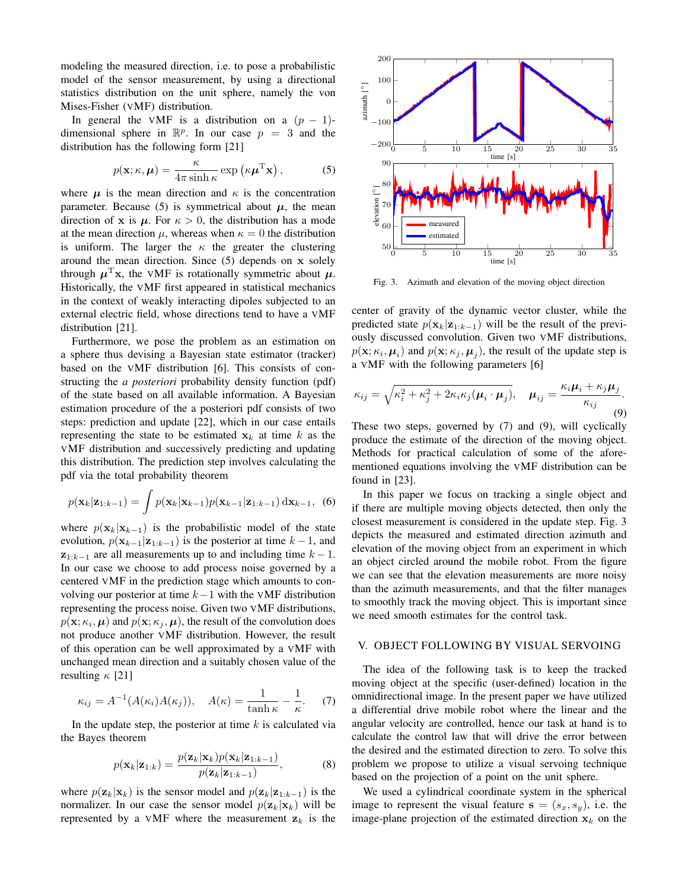modeling the measured direction, i.e. to pose a probabilistic model of the sensor measurement, by using a directional statistics distribution on the unit sphere, namely the von Mises-Fisher (VMF) distribution.

In general the VMF is a distribution on a  $(p - 1)$ dimensional sphere in  $\mathbb{R}^p$ . In our case  $p = 3$  and the distribution has the following form [21]

$$
p(\mathbf{x}; \kappa, \boldsymbol{\mu}) = \frac{\kappa}{4\pi \sinh \kappa} \exp\left(\kappa \boldsymbol{\mu}^{\mathrm{T}} \mathbf{x}\right),
$$
 (5)

where  $\mu$  is the mean direction and  $\kappa$  is the concentration parameter. Because (5) is symmetrical about  $\mu$ , the mean direction of x is  $\mu$ . For  $\kappa > 0$ , the distribution has a mode at the mean direction  $\mu$ , whereas when  $\kappa = 0$  the distribution is uniform. The larger the  $\kappa$  the greater the clustering around the mean direction. Since (5) depends on x solely through  $\mu^{\mathrm{T}}\mathbf{x}$ , the VMF is rotationally symmetric about  $\mu$ . Historically, the VMF first appeared in statistical mechanics in the context of weakly interacting dipoles subjected to an external electric field, whose directions tend to have a VMF distribution [21].

Furthermore, we pose the problem as an estimation on a sphere thus devising a Bayesian state estimator (tracker) based on the VMF distribution [6]. This consists of constructing the *a posteriori* probability density function (pdf) of the state based on all available information. A Bayesian estimation procedure of the a posteriori pdf consists of two steps: prediction and update [22], which in our case entails representing the state to be estimated  $x_k$  at time k as the VMF distribution and successively predicting and updating this distribution. The prediction step involves calculating the pdf via the total probability theorem

$$
p(\mathbf{x}_k|\mathbf{z}_{1:k-1}) = \int p(\mathbf{x}_k|\mathbf{x}_{k-1}) p(\mathbf{x}_{k-1}|\mathbf{z}_{1:k-1}) \, d\mathbf{x}_{k-1}, \tag{6}
$$

where  $p(\mathbf{x}_k|\mathbf{x}_{k-1})$  is the probabilistic model of the state evolution,  $p(\mathbf{x}_{k-1}|\mathbf{z}_{1:k-1})$  is the posterior at time  $k-1$ , and  $z_{1:k-1}$  are all measurements up to and including time  $k-1$ . In our case we choose to add process noise governed by a centered VMF in the prediction stage which amounts to convolving our posterior at time  $k-1$  with the VMF distribution representing the process noise. Given two VMF distributions,  $p(\mathbf{x}; \kappa_i, \boldsymbol{\mu})$  and  $p(\mathbf{x}; \kappa_j, \boldsymbol{\mu})$ , the result of the convolution does not produce another VMF distribution. However, the result of this operation can be well approximated by a VMF with unchanged mean direction and a suitably chosen value of the resulting  $\kappa$  [21]

$$
\kappa_{ij} = A^{-1}(A(\kappa_i)A(\kappa_j)), \quad A(\kappa) = \frac{1}{\tanh \kappa} - \frac{1}{\kappa}.
$$
 (7)

In the update step, the posterior at time  $k$  is calculated via the Bayes theorem

$$
p(\mathbf{x}_k|\mathbf{z}_{1:k}) = \frac{p(\mathbf{z}_k|\mathbf{x}_k)p(\mathbf{x}_k|\mathbf{z}_{1:k-1})}{p(\mathbf{z}_k|\mathbf{z}_{1:k-1})},
$$
(8)

where  $p(\mathbf{z}_k|\mathbf{x}_k)$  is the sensor model and  $p(\mathbf{z}_k|\mathbf{z}_{1:k-1})$  is the normalizer. In our case the sensor model  $p(\mathbf{z}_k|\mathbf{x}_k)$  will be represented by a VMF where the measurement  $z_k$  is the



Fig. 3. Azimuth and elevation of the moving object direction

center of gravity of the dynamic vector cluster, while the predicted state  $p(\mathbf{x}_k|\mathbf{z}_{1:k-1})$  will be the result of the previously discussed convolution. Given two VMF distributions,  $p(\mathbf{x}; \kappa_i, \boldsymbol{\mu}_i)$  and  $p(\mathbf{x}; \kappa_j, \boldsymbol{\mu}_j)$ , the result of the update step is a VMF with the following parameters [6]

$$
\kappa_{ij} = \sqrt{\kappa_i^2 + \kappa_j^2 + 2\kappa_i \kappa_j (\boldsymbol{\mu}_i \cdot \boldsymbol{\mu}_j)}, \quad \boldsymbol{\mu}_{ij} = \frac{\kappa_i \boldsymbol{\mu}_i + \kappa_j \boldsymbol{\mu}_j}{\kappa_{ij}}.
$$
\n(9)

These two steps, governed by (7) and (9), will cyclically produce the estimate of the direction of the moving object. Methods for practical calculation of some of the aforementioned equations involving the VMF distribution can be found in [23].

In this paper we focus on tracking a single object and if there are multiple moving objects detected, then only the closest measurement is considered in the update step. Fig. 3 depicts the measured and estimated direction azimuth and elevation of the moving object from an experiment in which an object circled around the mobile robot. From the figure we can see that the elevation measurements are more noisy than the azimuth measurements, and that the filter manages to smoothly track the moving object. This is important since we need smooth estimates for the control task.

#### V. OBJECT FOLLOWING BY VISUAL SERVOING

The idea of the following task is to keep the tracked moving object at the specific (user-defined) location in the omnidirectional image. In the present paper we have utilized a differential drive mobile robot where the linear and the angular velocity are controlled, hence our task at hand is to calculate the control law that will drive the error between the desired and the estimated direction to zero. To solve this problem we propose to utilize a visual servoing technique based on the projection of a point on the unit sphere.

We used a cylindrical coordinate system in the spherical image to represent the visual feature  $s = (s_x, s_y)$ , i.e. the image-plane projection of the estimated direction  $x_k$  on the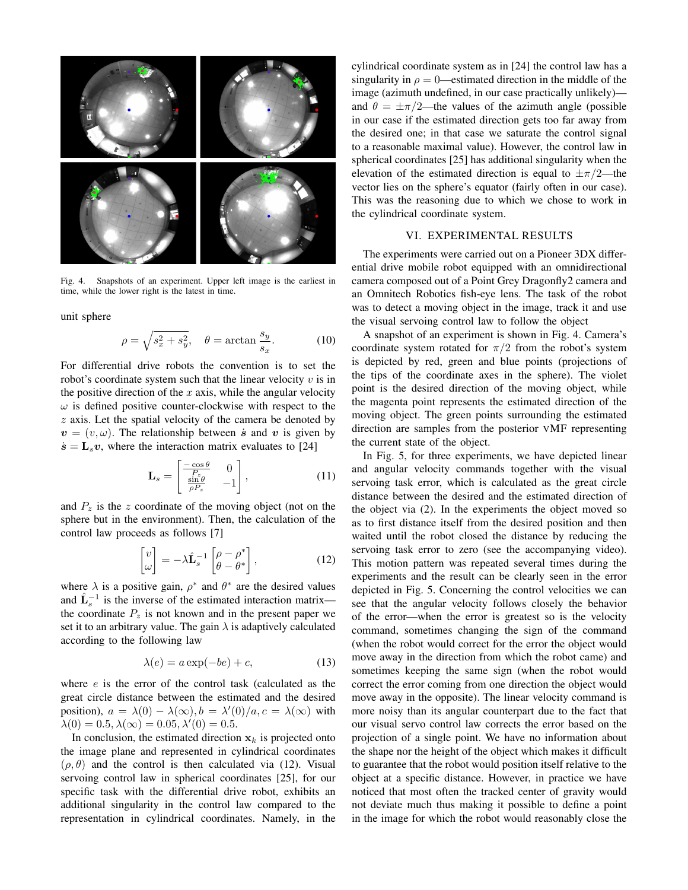

Fig. 4. Snapshots of an experiment. Upper left image is the earliest in time, while the lower right is the latest in time.

unit sphere

$$
\rho = \sqrt{s_x^2 + s_y^2}, \quad \theta = \arctan \frac{s_y}{s_x}.
$$
 (10)

For differential drive robots the convention is to set the robot's coordinate system such that the linear velocity  $v$  is in the positive direction of the  $x$  axis, while the angular velocity  $\omega$  is defined positive counter-clockwise with respect to the  $z$  axis. Let the spatial velocity of the camera be denoted by  $v = (v, \omega)$ . The relationship between s and v is given by  $\dot{s} = \mathbf{L}_s v$ , where the interaction matrix evaluates to [24]

$$
\mathbf{L}_s = \begin{bmatrix} \frac{-\cos\theta}{P_z} & 0\\ \frac{\sin\theta}{\rho P_z} & -1 \end{bmatrix},\tag{11}
$$

and  $P_z$  is the z coordinate of the moving object (not on the sphere but in the environment). Then, the calculation of the control law proceeds as follows [7]

$$
\begin{bmatrix} v \\ \omega \end{bmatrix} = -\lambda \hat{\mathbf{L}}_s^{-1} \begin{bmatrix} \rho - \rho^* \\ \theta - \theta^* \end{bmatrix}, \qquad (12)
$$

where  $\lambda$  is a positive gain,  $\rho^*$  and  $\theta^*$  are the desired values and  $\hat{\mathbf{L}}_s^{-1}$  is the inverse of the estimated interaction matrix the coordinate  $P_z$  is not known and in the present paper we set it to an arbitrary value. The gain  $\lambda$  is adaptively calculated according to the following law

$$
\lambda(e) = a \exp(-be) + c,\tag{13}
$$

where  $e$  is the error of the control task (calculated as the great circle distance between the estimated and the desired position),  $a = \lambda(0) - \lambda(\infty)$ ,  $b = \lambda'(0)/a$ ,  $c = \lambda(\infty)$  with  $\lambda(0) = 0.5, \lambda(\infty) = 0.05, \lambda'(0) = 0.5.$ 

In conclusion, the estimated direction  $x_k$  is projected onto the image plane and represented in cylindrical coordinates  $(\rho, \theta)$  and the control is then calculated via (12). Visual servoing control law in spherical coordinates [25], for our specific task with the differential drive robot, exhibits an additional singularity in the control law compared to the representation in cylindrical coordinates. Namely, in the

cylindrical coordinate system as in [24] the control law has a singularity in  $\rho = 0$ —estimated direction in the middle of the image (azimuth undefined, in our case practically unlikely) and  $\theta = \pm \pi/2$ —the values of the azimuth angle (possible in our case if the estimated direction gets too far away from the desired one; in that case we saturate the control signal to a reasonable maximal value). However, the control law in spherical coordinates [25] has additional singularity when the elevation of the estimated direction is equal to  $\pm \pi/2$ —the vector lies on the sphere's equator (fairly often in our case). This was the reasoning due to which we chose to work in the cylindrical coordinate system.

# VI. EXPERIMENTAL RESULTS

The experiments were carried out on a Pioneer 3DX differential drive mobile robot equipped with an omnidirectional camera composed out of a Point Grey Dragonfly2 camera and an Omnitech Robotics fish-eye lens. The task of the robot was to detect a moving object in the image, track it and use the visual servoing control law to follow the object

A snapshot of an experiment is shown in Fig. 4. Camera's coordinate system rotated for  $\pi/2$  from the robot's system is depicted by red, green and blue points (projections of the tips of the coordinate axes in the sphere). The violet point is the desired direction of the moving object, while the magenta point represents the estimated direction of the moving object. The green points surrounding the estimated direction are samples from the posterior VMF representing the current state of the object.

In Fig. 5, for three experiments, we have depicted linear and angular velocity commands together with the visual servoing task error, which is calculated as the great circle distance between the desired and the estimated direction of the object via (2). In the experiments the object moved so as to first distance itself from the desired position and then waited until the robot closed the distance by reducing the servoing task error to zero (see the accompanying video). This motion pattern was repeated several times during the experiments and the result can be clearly seen in the error depicted in Fig. 5. Concerning the control velocities we can see that the angular velocity follows closely the behavior of the error—when the error is greatest so is the velocity command, sometimes changing the sign of the command (when the robot would correct for the error the object would move away in the direction from which the robot came) and sometimes keeping the same sign (when the robot would correct the error coming from one direction the object would move away in the opposite). The linear velocity command is more noisy than its angular counterpart due to the fact that our visual servo control law corrects the error based on the projection of a single point. We have no information about the shape nor the height of the object which makes it difficult to guarantee that the robot would position itself relative to the object at a specific distance. However, in practice we have noticed that most often the tracked center of gravity would not deviate much thus making it possible to define a point in the image for which the robot would reasonably close the